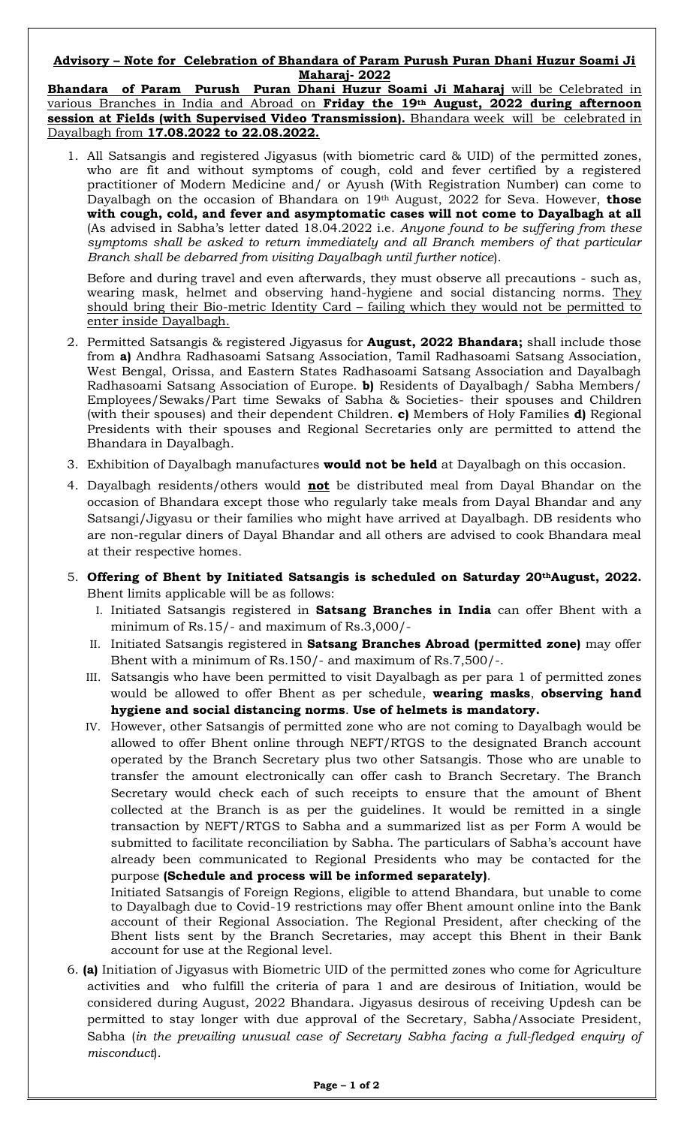## **Advisory – Note for Celebration of Bhandara of Param Purush Puran Dhani Huzur Soami Ji Maharaj- 2022**

**Bhandara of Param Purush Puran Dhani Huzur Soami Ji Maharaj** will be Celebrated in various Branches in India and Abroad on **Friday the 19th August, 2022 during afternoon session at Fields (with Supervised Video Transmission).** Bhandara week will be celebrated in Dayalbagh from **17.08.2022 to 22.08.2022.**

1. All Satsangis and registered Jigyasus (with biometric card & UID) of the permitted zones, who are fit and without symptoms of cough, cold and fever certified by a registered practitioner of Modern Medicine and/ or Ayush (With Registration Number) can come to Dayalbagh on the occasion of Bhandara on 19th August, 2022 for Seva. However, **those with cough, cold, and fever and asymptomatic cases will not come to Dayalbagh at all** (As advised in Sabha's letter dated 18.04.2022 i.e. *Anyone found to be suffering from these symptoms shall be asked to return immediately and all Branch members of that particular Branch shall be debarred from visiting Dayalbagh until further notice*).

Before and during travel and even afterwards, they must observe all precautions - such as, wearing mask, helmet and observing hand-hygiene and social distancing norms. They should bring their Bio-metric Identity Card – failing which they would not be permitted to enter inside Dayalbagh.

- 2. Permitted Satsangis & registered Jigyasus for **August, 2022 Bhandara;** shall include those from **a)** Andhra Radhasoami Satsang Association, Tamil Radhasoami Satsang Association, West Bengal, Orissa, and Eastern States Radhasoami Satsang Association and Dayalbagh Radhasoami Satsang Association of Europe. **b)** Residents of Dayalbagh/ Sabha Members/ Employees/Sewaks/Part time Sewaks of Sabha & Societies- their spouses and Children (with their spouses) and their dependent Children. **c)** Members of Holy Families **d)** Regional Presidents with their spouses and Regional Secretaries only are permitted to attend the Bhandara in Dayalbagh.
- 3. Exhibition of Dayalbagh manufactures **would not be held** at Dayalbagh on this occasion.
- 4. Dayalbagh residents/others would **not** be distributed meal from Dayal Bhandar on the occasion of Bhandara except those who regularly take meals from Dayal Bhandar and any Satsangi/Jigyasu or their families who might have arrived at Dayalbagh. DB residents who are non-regular diners of Dayal Bhandar and all others are advised to cook Bhandara meal at their respective homes.
- 5. **Offering of Bhent by Initiated Satsangis is scheduled on Saturday 20thAugust, 2022.**  Bhent limits applicable will be as follows:
	- I. Initiated Satsangis registered in **Satsang Branches in India** can offer Bhent with a minimum of Rs.15/- and maximum of Rs.3,000/-
	- II. Initiated Satsangis registered in **Satsang Branches Abroad (permitted zone)** may offer Bhent with a minimum of Rs.150/- and maximum of Rs.7,500/-.
	- III. Satsangis who have been permitted to visit Dayalbagh as per para 1 of permitted zones would be allowed to offer Bhent as per schedule, **wearing masks**, **observing hand hygiene and social distancing norms**. **Use of helmets is mandatory.**
	- IV. However, other Satsangis of permitted zone who are not coming to Dayalbagh would be allowed to offer Bhent online through NEFT/RTGS to the designated Branch account operated by the Branch Secretary plus two other Satsangis. Those who are unable to transfer the amount electronically can offer cash to Branch Secretary. The Branch Secretary would check each of such receipts to ensure that the amount of Bhent collected at the Branch is as per the guidelines. It would be remitted in a single transaction by NEFT/RTGS to Sabha and a summarized list as per Form A would be submitted to facilitate reconciliation by Sabha. The particulars of Sabha's account have already been communicated to Regional Presidents who may be contacted for the purpose **(Schedule and process will be informed separately)**.

Initiated Satsangis of Foreign Regions, eligible to attend Bhandara, but unable to come to Dayalbagh due to Covid-19 restrictions may offer Bhent amount online into the Bank account of their Regional Association. The Regional President, after checking of the Bhent lists sent by the Branch Secretaries, may accept this Bhent in their Bank account for use at the Regional level.

6. **(a)** Initiation of Jigyasus with Biometric UID of the permitted zones who come for Agriculture activities and who fulfill the criteria of para 1 and are desirous of Initiation, would be considered during August, 2022 Bhandara. Jigyasus desirous of receiving Updesh can be permitted to stay longer with due approval of the Secretary, Sabha/Associate President, Sabha (*in the prevailing unusual case of Secretary Sabha facing a full-fledged enquiry of misconduct*).